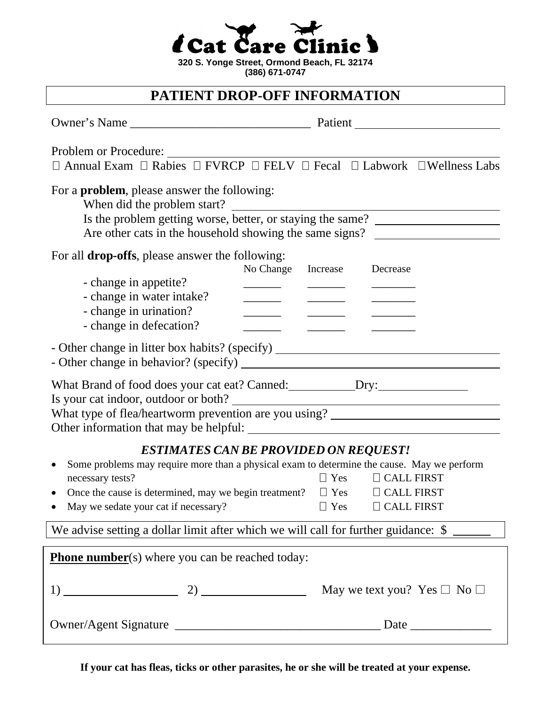|  | $\rightarrow$<br><i>i</i> Cat Care Clinic <b>d</b> |  |
|--|----------------------------------------------------|--|
|  |                                                    |  |

**320 S. Yonge Street, Ormond Beach, FL 32174 (386) 671-0747**

## **PATIENT DROP-OFF INFORMATION**

| Problem or Procedure:                                                                                                                                                                                         | $\Box$ Annual Exam $\Box$ Rabies $\Box$ FVRCP $\Box$ FELV $\Box$ Fecal $\Box$ Labwork $\Box$ Wellness Labs                                                                                                                                                                |  |  |  |
|---------------------------------------------------------------------------------------------------------------------------------------------------------------------------------------------------------------|---------------------------------------------------------------------------------------------------------------------------------------------------------------------------------------------------------------------------------------------------------------------------|--|--|--|
| For a <b>problem</b> , please answer the following:<br>When did the problem start?                                                                                                                            | Is the problem getting worse, better, or staying the same?<br>Are other cats in the household showing the same signs?                                                                                                                                                     |  |  |  |
| For all drop-offs, please answer the following:<br>- change in appetite?<br>- change in water intake?<br>- change in urination?<br>- change in defecation?                                                    | No Change<br>Increase<br>Decrease<br><u> London Communication (Communication (Communication (Communication (Communication (Communication (Communication (Communication (Communication (Communication (Communication (Communication (Communication (Communication (Com</u> |  |  |  |
| - Other change in litter box habits? (specify) _________________________________                                                                                                                              |                                                                                                                                                                                                                                                                           |  |  |  |
| What Brand of food does your cat eat? Canned: ___________________________________<br>Is your cat indoor, outdoor or both?<br>What type of flea/heartworm prevention are you using? __________________________ |                                                                                                                                                                                                                                                                           |  |  |  |
| <b>ESTIMATES CAN BE PROVIDED ON REQUEST!</b><br>Some problems may require more than a physical exam to determine the cause. May we perform                                                                    |                                                                                                                                                                                                                                                                           |  |  |  |
| necessary tests?                                                                                                                                                                                              | $\Box$ CALL FIRST<br>$\Box$ Yes                                                                                                                                                                                                                                           |  |  |  |
|                                                                                                                                                                                                               | Once the cause is determined, may we begin treatment? $\square$ Yes $\square$ CALL FIRST                                                                                                                                                                                  |  |  |  |
| May we sedate your cat if necessary?                                                                                                                                                                          | $\Box$ Yes<br>$\Box$ CALL FIRST                                                                                                                                                                                                                                           |  |  |  |
| We advise setting a dollar limit after which we will call for further guidance: \$                                                                                                                            |                                                                                                                                                                                                                                                                           |  |  |  |
| <b>Phone number</b> (s) where you can be reached today:                                                                                                                                                       |                                                                                                                                                                                                                                                                           |  |  |  |
|                                                                                                                                                                                                               | May we text you? Yes $\square$ No $\square$                                                                                                                                                                                                                               |  |  |  |
|                                                                                                                                                                                                               |                                                                                                                                                                                                                                                                           |  |  |  |

**If your cat has fleas, ticks or other parasites, he or she will be treated at your expense.**